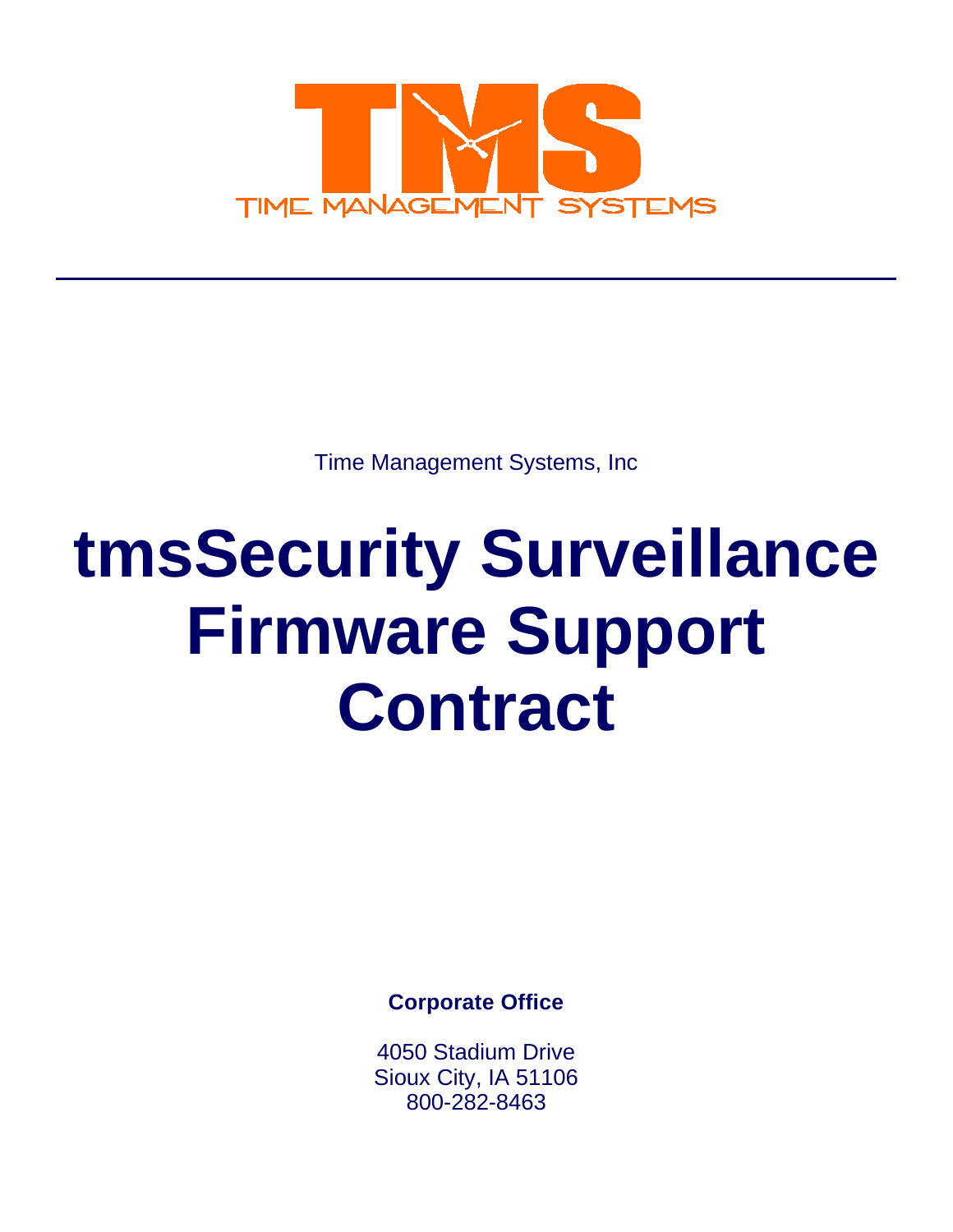

Time Management Systems, Inc

# **tmsSecurity Surveillance Firmware Support Contract**

**Corporate Office** 

4050 Stadium Drive Sioux City, IA 51106 800-282-8463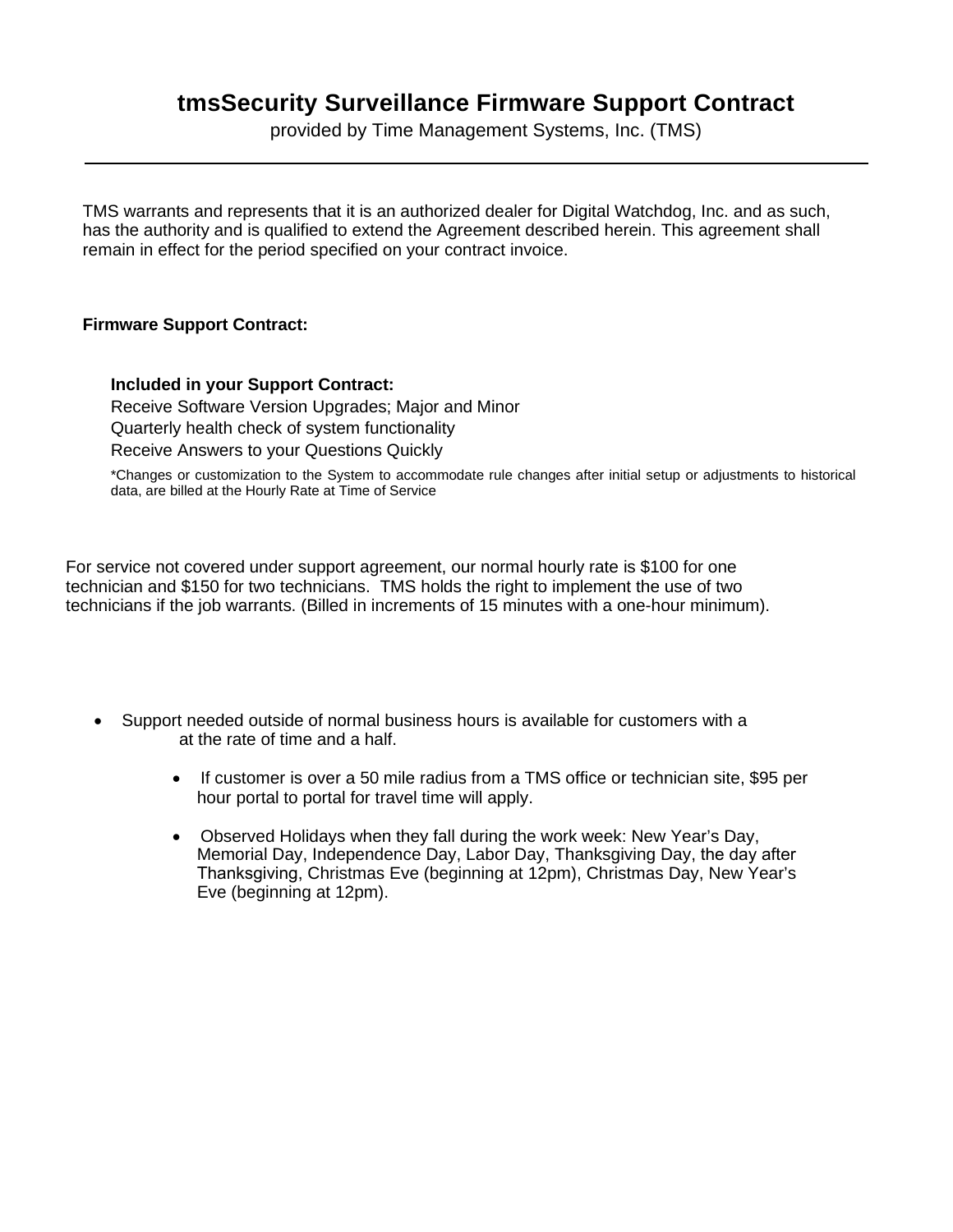## **tmsSecurity Surveillance Firmware Support Contract**

provided by Time Management Systems, Inc. (TMS)

TMS warrants and represents that it is an authorized dealer for Digital Watchdog, Inc. and as such, has the authority and is qualified to extend the Agreement described herein. This agreement shall remain in effect for the period specified on your contract invoice.

## **Firmware Support Contract:**

**Included in your Support Contract:**  Receive Software Version Upgrades; Major and Minor Quarterly health check of system functionality Receive Answers to your Questions Quickly

\*Changes or customization to the System to accommodate rule changes after initial setup or adjustments to historical data, are billed at the Hourly Rate at Time of Service

For service not covered under support agreement, our normal hourly rate is \$100 for one technician and \$150 for two technicians. TMS holds the right to implement the use of two technicians if the job warrants. (Billed in increments of 15 minutes with a one-hour minimum).

- Support needed outside of normal business hours is available for customers with a at the rate of time and a half.
	- If customer is over a 50 mile radius from a TMS office or technician site, \$95 per hour portal to portal for travel time will apply.
	- Observed Holidays when they fall during the work week: New Year's Day, Memorial Day, Independence Day, Labor Day, Thanksgiving Day, the day after Thanksgiving, Christmas Eve (beginning at 12pm), Christmas Day, New Year's Eve (beginning at 12pm).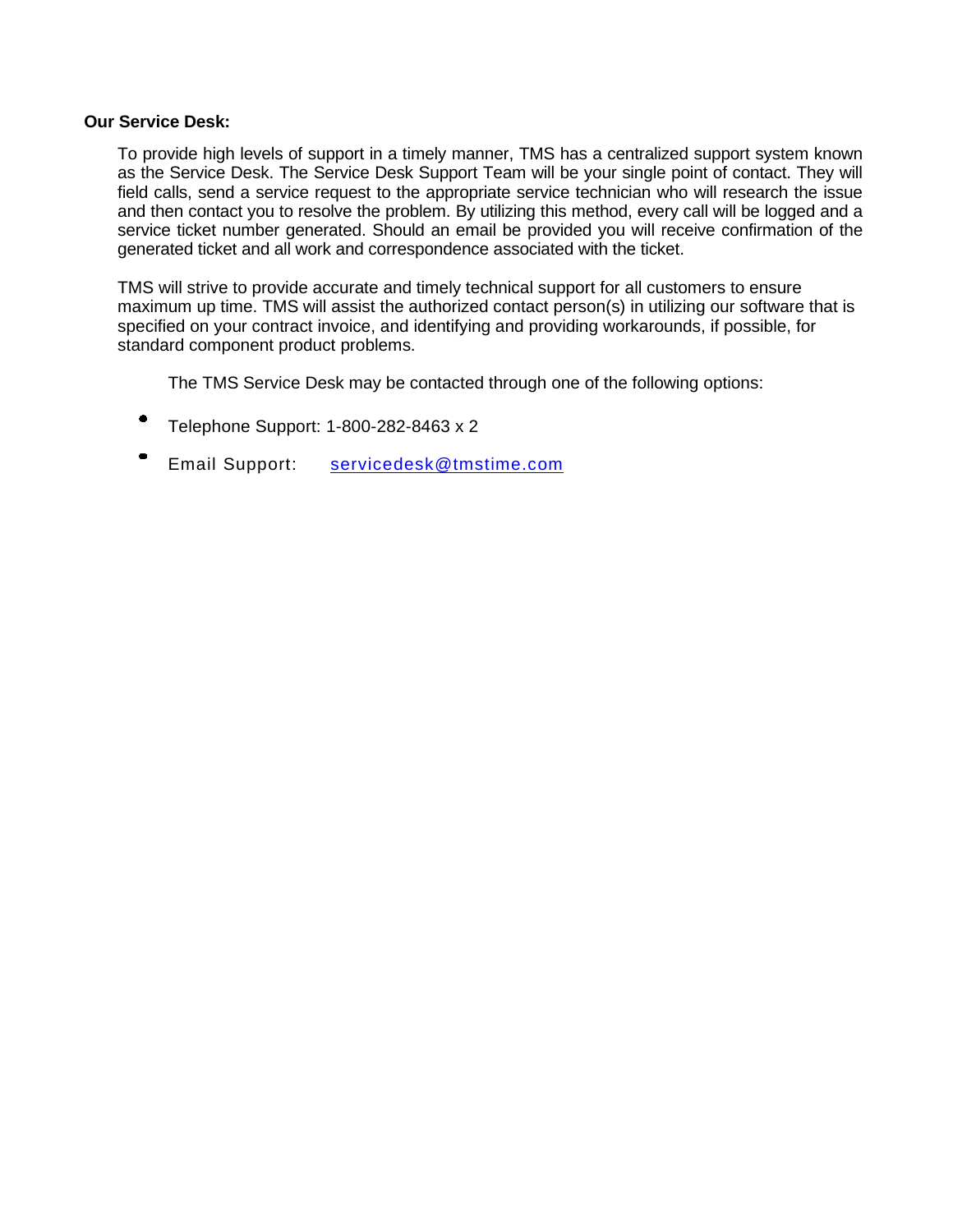## **Our Service Desk:**

To provide high levels of support in a timely manner, TMS has a centralized support system known as the Service Desk. The Service Desk Support Team will be your single point of contact. They will field calls, send a service request to the appropriate service technician who will research the issue and then contact you to resolve the problem. By utilizing this method, every call will be logged and a service ticket number generated. Should an email be provided you will receive confirmation of the generated ticket and all work and correspondence associated with the ticket.

TMS will strive to provide accurate and timely technical support for all customers to ensure maximum up time. TMS will assist the authorized contact person(s) in utilizing our software that is specified on your contract invoice, and identifying and providing workarounds, if possible, for standard component product problems.

The TMS Service Desk may be contacted through one of the following options:

- Telephone Support: 1-800-282-8463 x 2
- Email Support: servicedesk@tmstime.com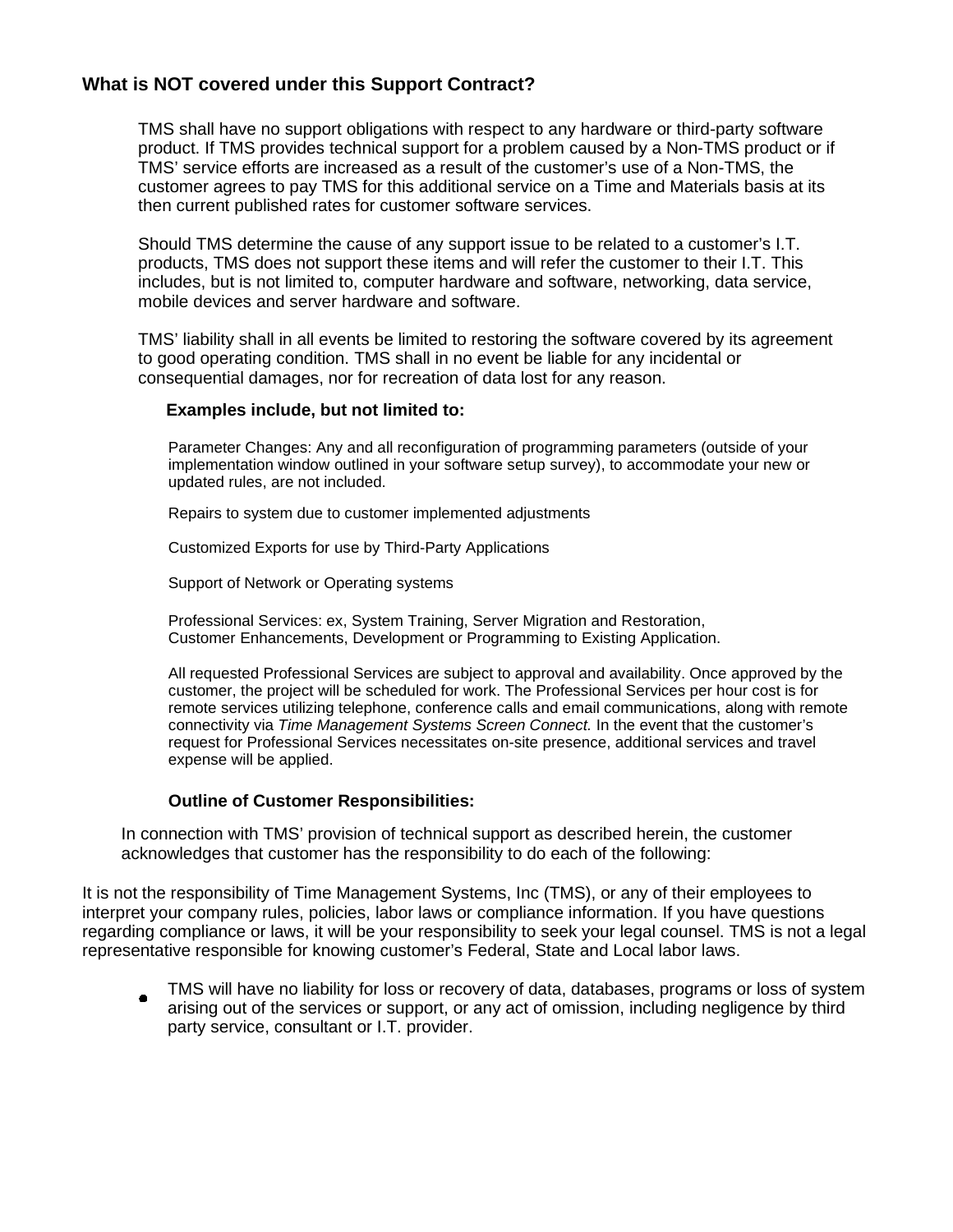## **What is NOT covered under this Support Contract?**

TMS shall have no support obligations with respect to any hardware or third-party software product. If TMS provides technical support for a problem caused by a Non-TMS product or if TMS' service efforts are increased as a result of the customer's use of a Non-TMS, the customer agrees to pay TMS for this additional service on a Time and Materials basis at its then current published rates for customer software services.

Should TMS determine the cause of any support issue to be related to a customer's I.T. products, TMS does not support these items and will refer the customer to their I.T. This includes, but is not limited to, computer hardware and software, networking, data service, mobile devices and server hardware and software.

TMS' liability shall in all events be limited to restoring the software covered by its agreement to good operating condition. TMS shall in no event be liable for any incidental or consequential damages, nor for recreation of data lost for any reason.

### **Examples include, but not limited to:**

Parameter Changes: Any and all reconfiguration of programming parameters (outside of your implementation window outlined in your software setup survey), to accommodate your new or updated rules, are not included.

Repairs to system due to customer implemented adjustments

Customized Exports for use by Third-Party Applications

Support of Network or Operating systems

Professional Services: ex, System Training, Server Migration and Restoration, Customer Enhancements, Development or Programming to Existing Application.

All requested Professional Services are subject to approval and availability. Once approved by the customer, the project will be scheduled for work. The Professional Services per hour cost is for remote services utilizing telephone, conference calls and email communications, along with remote connectivity via *Time Management Systems Screen Connect.* In the event that the customer's request for Professional Services necessitates on-site presence, additional services and travel expense will be applied.

### **Outline of Customer Responsibilities:**

In connection with TMS' provision of technical support as described herein, the customer acknowledges that customer has the responsibility to do each of the following:

It is not the responsibility of Time Management Systems, Inc (TMS), or any of their employees to interpret your company rules, policies, labor laws or compliance information. If you have questions regarding compliance or laws, it will be your responsibility to seek your legal counsel. TMS is not a legal representative responsible for knowing customer's Federal, State and Local labor laws.

TMS will have no liability for loss or recovery of data, databases, programs or loss of system arising out of the services or support, or any act of omission, including negligence by third party service, consultant or I.T. provider.